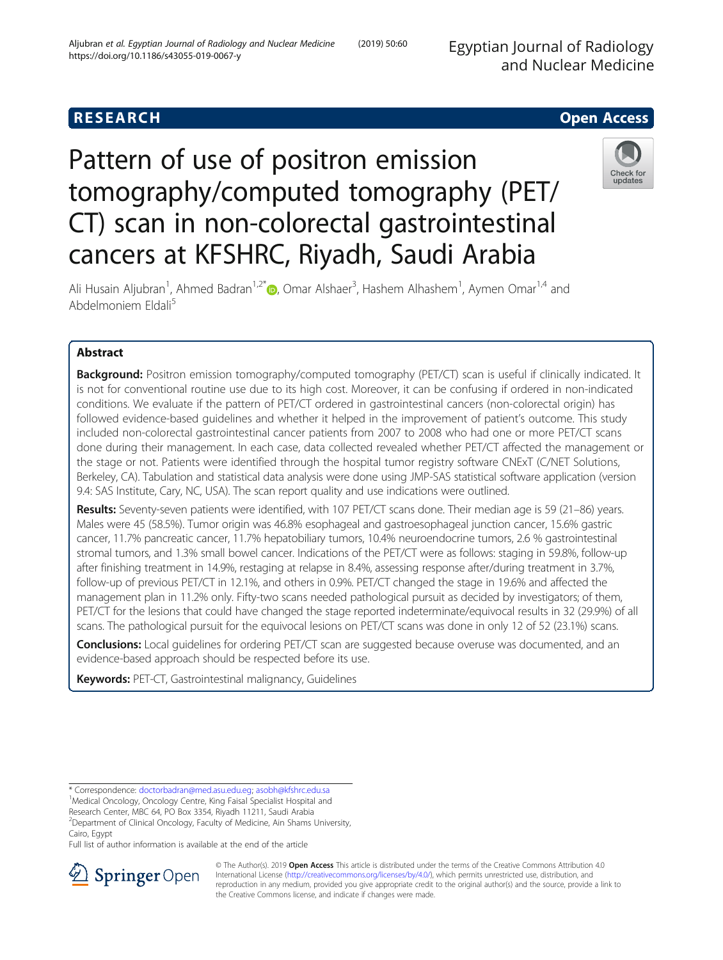Egyptian Journal of Radiology and Nuclear Medicine

## **RESEARCH CHEAR CHEAR CHEAR CHEAR CHEAR CHEAR CHEAR CHEAR CHEAR CHEAR CHEAR CHEAR CHEAR CHEAR CHEAR CHEAR CHEAR**

# Pattern of use of positron emission tomography/computed tomography (PET/ CT) scan in non-colorectal gastrointestinal cancers at KFSHRC, Riyadh, Saudi Arabia



Ali Husain Aljubran<sup>1</sup>[,](http://orcid.org/0000-0001-9994-8878) Ahmed Badran<sup>1,2\*</sup> D, Omar Alshaer<sup>3</sup>, Hashem Alhashem<sup>1</sup>, Aymen Omar<sup>1,4</sup> and Abdelmoniem Eldali<sup>5</sup>

## Abstract

Background: Positron emission tomography/computed tomography (PET/CT) scan is useful if clinically indicated. It is not for conventional routine use due to its high cost. Moreover, it can be confusing if ordered in non-indicated conditions. We evaluate if the pattern of PET/CT ordered in gastrointestinal cancers (non-colorectal origin) has followed evidence-based guidelines and whether it helped in the improvement of patient's outcome. This study included non-colorectal gastrointestinal cancer patients from 2007 to 2008 who had one or more PET/CT scans done during their management. In each case, data collected revealed whether PET/CT affected the management or the stage or not. Patients were identified through the hospital tumor registry software CNExT (C/NET Solutions, Berkeley, CA). Tabulation and statistical data analysis were done using JMP-SAS statistical software application (version 9.4: SAS Institute, Cary, NC, USA). The scan report quality and use indications were outlined.

Results: Seventy-seven patients were identified, with 107 PET/CT scans done. Their median age is 59 (21–86) years. Males were 45 (58.5%). Tumor origin was 46.8% esophageal and gastroesophageal junction cancer, 15.6% gastric cancer, 11.7% pancreatic cancer, 11.7% hepatobiliary tumors, 10.4% neuroendocrine tumors, 2.6 % gastrointestinal stromal tumors, and 1.3% small bowel cancer. Indications of the PET/CT were as follows: staging in 59.8%, follow-up after finishing treatment in 14.9%, restaging at relapse in 8.4%, assessing response after/during treatment in 3.7%, follow-up of previous PET/CT in 12.1%, and others in 0.9%. PET/CT changed the stage in 19.6% and affected the management plan in 11.2% only. Fifty-two scans needed pathological pursuit as decided by investigators; of them, PET/CT for the lesions that could have changed the stage reported indeterminate/equivocal results in 32 (29.9%) of all scans. The pathological pursuit for the equivocal lesions on PET/CT scans was done in only 12 of 52 (23.1%) scans.

Conclusions: Local guidelines for ordering PET/CT scan are suggested because overuse was documented, and an evidence-based approach should be respected before its use.

Keywords: PET-CT, Gastrointestinal malignancy, Guidelines

<sup>1</sup>Medical Oncology, Oncology Centre, King Faisal Specialist Hospital and

Research Center, MBC 64, PO Box 3354, Riyadh 11211, Saudi Arabia

<sup>2</sup>Department of Clinical Oncology, Faculty of Medicine, Ain Shams University, Cairo, Egypt

Full list of author information is available at the end of the article



© The Author(s). 2019 Open Access This article is distributed under the terms of the Creative Commons Attribution 4.0 International License ([http://creativecommons.org/licenses/by/4.0/\)](http://creativecommons.org/licenses/by/4.0/), which permits unrestricted use, distribution, and reproduction in any medium, provided you give appropriate credit to the original author(s) and the source, provide a link to the Creative Commons license, and indicate if changes were made.

<sup>\*</sup> Correspondence: [doctorbadran@med.asu.edu.eg](mailto:doctorbadran@med.asu.edu.eg); [asobh@kfshrc.edu.sa](mailto:asobh@kfshrc.edu.sa) <sup>1</sup>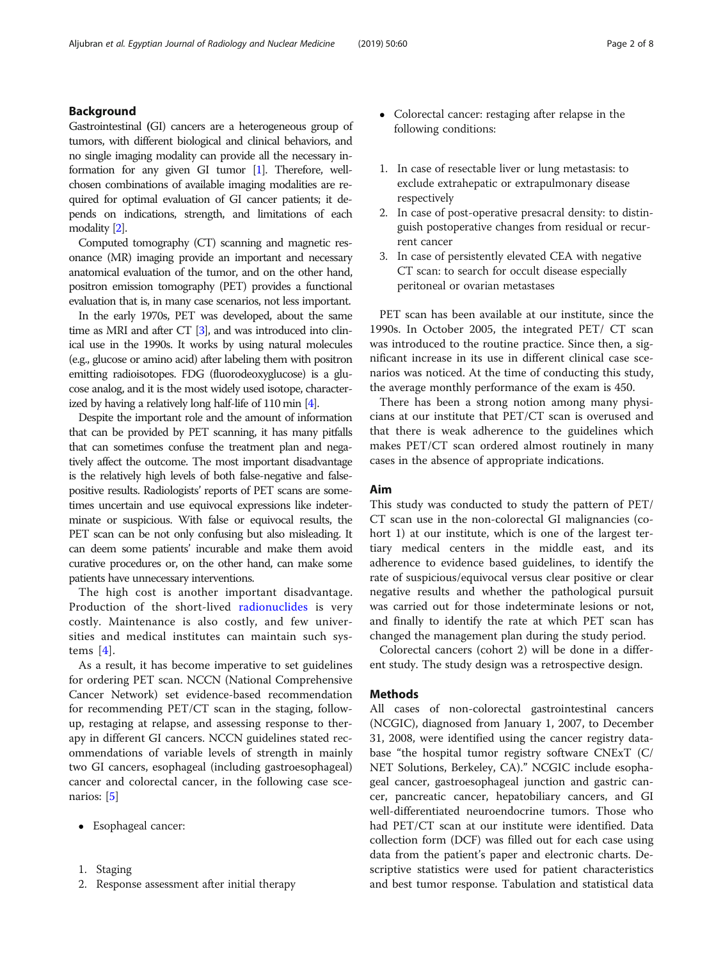## Background

Gastrointestinal (GI) cancers are a heterogeneous group of tumors, with different biological and clinical behaviors, and no single imaging modality can provide all the necessary information for any given GI tumor [\[1\]](#page-6-0). Therefore, wellchosen combinations of available imaging modalities are required for optimal evaluation of GI cancer patients; it depends on indications, strength, and limitations of each modality [\[2](#page-6-0)].

Computed tomography (CT) scanning and magnetic resonance (MR) imaging provide an important and necessary anatomical evaluation of the tumor, and on the other hand, positron emission tomography (PET) provides a functional evaluation that is, in many case scenarios, not less important.

In the early 1970s, PET was developed, about the same time as MRI and after CT [\[3](#page-6-0)], and was introduced into clinical use in the 1990s. It works by using natural molecules (e.g., glucose or amino acid) after labeling them with positron emitting radioisotopes. FDG (fluorodeoxyglucose) is a glucose analog, and it is the most widely used isotope, characterized by having a relatively long half-life of 110 min [\[4](#page-6-0)].

Despite the important role and the amount of information that can be provided by PET scanning, it has many pitfalls that can sometimes confuse the treatment plan and negatively affect the outcome. The most important disadvantage is the relatively high levels of both false-negative and falsepositive results. Radiologists' reports of PET scans are sometimes uncertain and use equivocal expressions like indeterminate or suspicious. With false or equivocal results, the PET scan can be not only confusing but also misleading. It can deem some patients' incurable and make them avoid curative procedures or, on the other hand, can make some patients have unnecessary interventions.

The high cost is another important disadvantage. Production of the short-lived [radionuclides](http://en.wikipedia.org/wiki/Radionuclides) is very costly. Maintenance is also costly, and few universities and medical institutes can maintain such systems [\[4](#page-6-0)].

As a result, it has become imperative to set guidelines for ordering PET scan. NCCN (National Comprehensive Cancer Network) set evidence-based recommendation for recommending PET/CT scan in the staging, followup, restaging at relapse, and assessing response to therapy in different GI cancers. NCCN guidelines stated recommendations of variable levels of strength in mainly two GI cancers, esophageal (including gastroesophageal) cancer and colorectal cancer, in the following case scenarios: [[5\]](#page-6-0)

- Esophageal cancer:
- 1. Staging
- 2. Response assessment after initial therapy
- Colorectal cancer: restaging after relapse in the following conditions:
- 1. In case of resectable liver or lung metastasis: to exclude extrahepatic or extrapulmonary disease respectively
- 2. In case of post-operative presacral density: to distinguish postoperative changes from residual or recurrent cancer
- 3. In case of persistently elevated CEA with negative CT scan: to search for occult disease especially peritoneal or ovarian metastases

PET scan has been available at our institute, since the 1990s. In October 2005, the integrated PET/ CT scan was introduced to the routine practice. Since then, a significant increase in its use in different clinical case scenarios was noticed. At the time of conducting this study, the average monthly performance of the exam is 450.

There has been a strong notion among many physicians at our institute that PET/CT scan is overused and that there is weak adherence to the guidelines which makes PET/CT scan ordered almost routinely in many cases in the absence of appropriate indications.

### Aim

This study was conducted to study the pattern of PET/ CT scan use in the non-colorectal GI malignancies (cohort 1) at our institute, which is one of the largest tertiary medical centers in the middle east, and its adherence to evidence based guidelines, to identify the rate of suspicious/equivocal versus clear positive or clear negative results and whether the pathological pursuit was carried out for those indeterminate lesions or not, and finally to identify the rate at which PET scan has changed the management plan during the study period.

Colorectal cancers (cohort 2) will be done in a different study. The study design was a retrospective design.

#### **Methods**

All cases of non-colorectal gastrointestinal cancers (NCGIC), diagnosed from January 1, 2007, to December 31, 2008, were identified using the cancer registry database "the hospital tumor registry software CNExT (C/ NET Solutions, Berkeley, CA)." NCGIC include esophageal cancer, gastroesophageal junction and gastric cancer, pancreatic cancer, hepatobiliary cancers, and GI well-differentiated neuroendocrine tumors. Those who had PET/CT scan at our institute were identified. Data collection form (DCF) was filled out for each case using data from the patient's paper and electronic charts. Descriptive statistics were used for patient characteristics and best tumor response. Tabulation and statistical data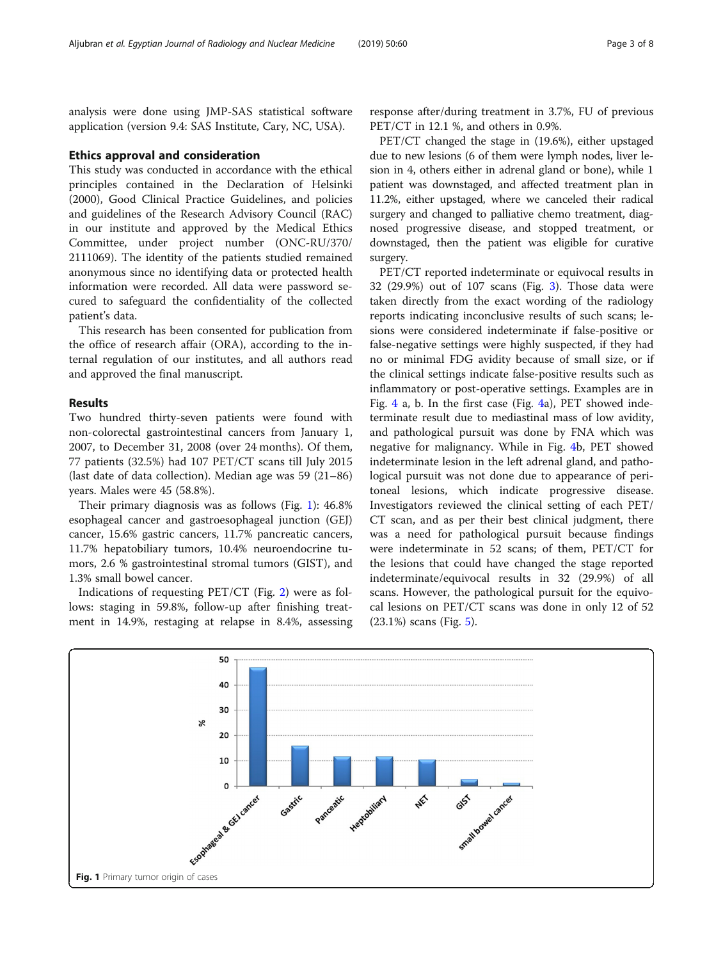analysis were done using JMP-SAS statistical software application (version 9.4: SAS Institute, Cary, NC, USA).

#### Ethics approval and consideration

This study was conducted in accordance with the ethical principles contained in the Declaration of Helsinki (2000), Good Clinical Practice Guidelines, and policies and guidelines of the Research Advisory Council (RAC) in our institute and approved by the Medical Ethics Committee, under project number (ONC-RU/370/ 2111069). The identity of the patients studied remained anonymous since no identifying data or protected health information were recorded. All data were password secured to safeguard the confidentiality of the collected patient's data.

This research has been consented for publication from the office of research affair (ORA), according to the internal regulation of our institutes, and all authors read and approved the final manuscript.

#### Results

Two hundred thirty-seven patients were found with non-colorectal gastrointestinal cancers from January 1, 2007, to December 31, 2008 (over 24 months). Of them, 77 patients (32.5%) had 107 PET/CT scans till July 2015 (last date of data collection). Median age was 59 (21–86) years. Males were 45 (58.8%).

Their primary diagnosis was as follows (Fig. 1): 46.8% esophageal cancer and gastroesophageal junction (GEJ) cancer, 15.6% gastric cancers, 11.7% pancreatic cancers, 11.7% hepatobiliary tumors, 10.4% neuroendocrine tumors, 2.6 % gastrointestinal stromal tumors (GIST), and 1.3% small bowel cancer.

Indications of requesting PET/CT (Fig. [2](#page-3-0)) were as follows: staging in 59.8%, follow-up after finishing treatment in 14.9%, restaging at relapse in 8.4%, assessing

response after/during treatment in 3.7%, FU of previous PET/CT in 12.1 %, and others in 0.9%.

PET/CT changed the stage in (19.6%), either upstaged due to new lesions (6 of them were lymph nodes, liver lesion in 4, others either in adrenal gland or bone), while 1 patient was downstaged, and affected treatment plan in 11.2%, either upstaged, where we canceled their radical surgery and changed to palliative chemo treatment, diagnosed progressive disease, and stopped treatment, or downstaged, then the patient was eligible for curative surgery.

PET/CT reported indeterminate or equivocal results in 32 (29.9%) out of 107 scans (Fig. [3\)](#page-3-0). Those data were taken directly from the exact wording of the radiology reports indicating inconclusive results of such scans; lesions were considered indeterminate if false-positive or false-negative settings were highly suspected, if they had no or minimal FDG avidity because of small size, or if the clinical settings indicate false-positive results such as inflammatory or post-operative settings. Examples are in Fig. [4](#page-4-0) a, b. In the first case (Fig. [4](#page-4-0)a), PET showed indeterminate result due to mediastinal mass of low avidity, and pathological pursuit was done by FNA which was negative for malignancy. While in Fig. [4b](#page-4-0), PET showed indeterminate lesion in the left adrenal gland, and pathological pursuit was not done due to appearance of peritoneal lesions, which indicate progressive disease. Investigators reviewed the clinical setting of each PET/ CT scan, and as per their best clinical judgment, there was a need for pathological pursuit because findings were indeterminate in 52 scans; of them, PET/CT for the lesions that could have changed the stage reported indeterminate/equivocal results in 32 (29.9%) of all scans. However, the pathological pursuit for the equivocal lesions on PET/CT scans was done in only 12 of 52 (23.1%) scans (Fig. [5](#page-4-0)).

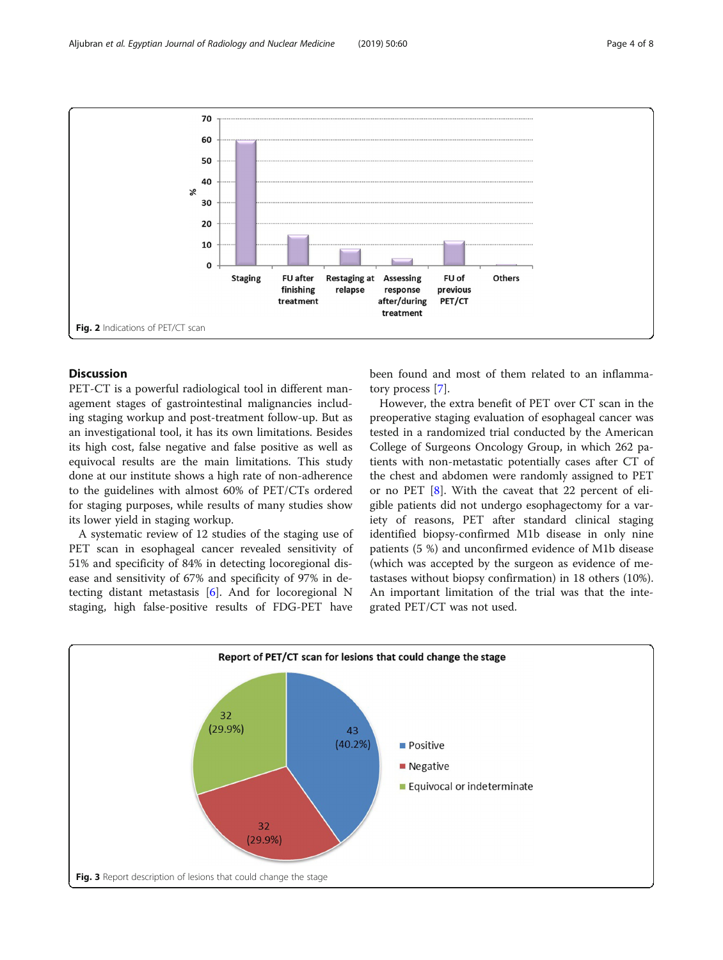PET-CT is a powerful radiological tool in different management stages of gastrointestinal malignancies including staging workup and post-treatment follow-up. But as an investigational tool, it has its own limitations. Besides its high cost, false negative and false positive as well as equivocal results are the main limitations. This study done at our institute shows a high rate of non-adherence to the guidelines with almost 60% of PET/CTs ordered for staging purposes, while results of many studies show its lower yield in staging workup.

A systematic review of 12 studies of the staging use of PET scan in esophageal cancer revealed sensitivity of 51% and specificity of 84% in detecting locoregional disease and sensitivity of 67% and specificity of 97% in detecting distant metastasis [[6\]](#page-6-0). And for locoregional N staging, high false-positive results of FDG-PET have

Fig. 3 Report description of lesions that could change the stage

been found and most of them related to an inflammatory process [[7](#page-6-0)].

However, the extra benefit of PET over CT scan in the preoperative staging evaluation of esophageal cancer was tested in a randomized trial conducted by the American College of Surgeons Oncology Group, in which 262 patients with non-metastatic potentially cases after CT of the chest and abdomen were randomly assigned to PET or no PET [[8](#page-6-0)]. With the caveat that 22 percent of eligible patients did not undergo esophagectomy for a variety of reasons, PET after standard clinical staging identified biopsy-confirmed M1b disease in only nine patients (5 %) and unconfirmed evidence of M1b disease (which was accepted by the surgeon as evidence of metastases without biopsy confirmation) in 18 others (10%). An important limitation of the trial was that the integrated PET/CT was not used.

<span id="page-3-0"></span>



## **Discussion**

Report of PET/CT scan for lesions that could change the stage 32  $(29.9%$  $43$  $(40.2%)$ **Positive**  $\blacksquare$  Negative Equivocal or indeterminate 32  $(29.9%)$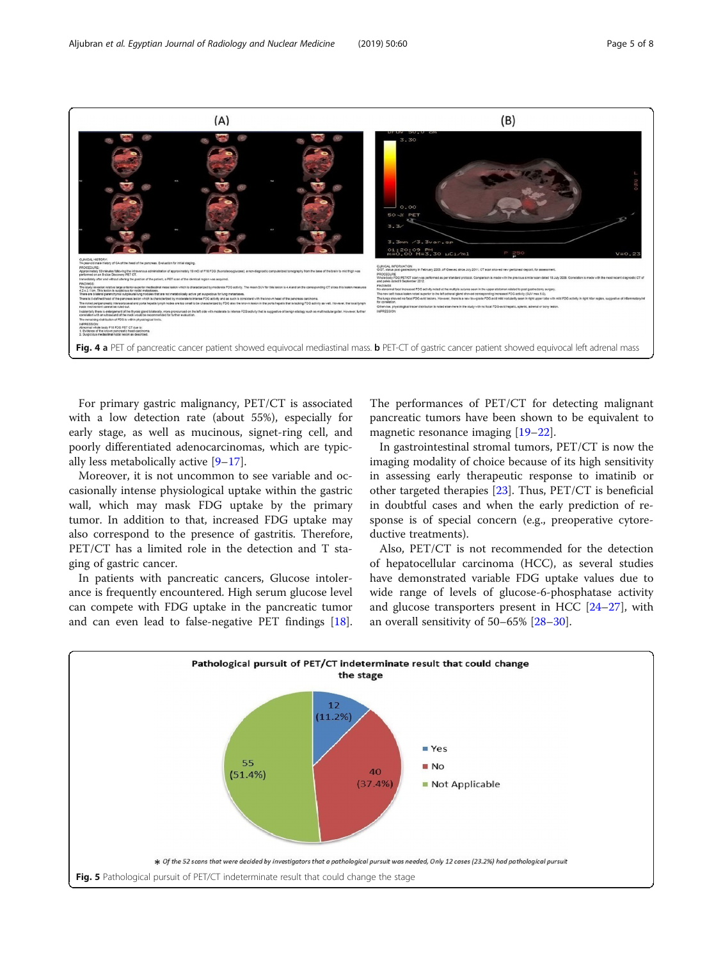<span id="page-4-0"></span>

For primary gastric malignancy, PET/CT is associated with a low detection rate (about 55%), especially for early stage, as well as mucinous, signet-ring cell, and poorly differentiated adenocarcinomas, which are typically less metabolically active [\[9](#page-6-0)–[17\]](#page-6-0).

Moreover, it is not uncommon to see variable and occasionally intense physiological uptake within the gastric wall, which may mask FDG uptake by the primary tumor. In addition to that, increased FDG uptake may also correspond to the presence of gastritis. Therefore, PET/CT has a limited role in the detection and T staging of gastric cancer.

In patients with pancreatic cancers, Glucose intolerance is frequently encountered. High serum glucose level can compete with FDG uptake in the pancreatic tumor and can even lead to false-negative PET findings [\[18](#page-6-0)].

The performances of PET/CT for detecting malignant pancreatic tumors have been shown to be equivalent to magnetic resonance imaging [\[19](#page-7-0)–[22](#page-7-0)].

In gastrointestinal stromal tumors, PET/CT is now the imaging modality of choice because of its high sensitivity in assessing early therapeutic response to imatinib or other targeted therapies [[23\]](#page-7-0). Thus, PET/CT is beneficial in doubtful cases and when the early prediction of response is of special concern (e.g., preoperative cytoreductive treatments).

Also, PET/CT is not recommended for the detection of hepatocellular carcinoma (HCC), as several studies have demonstrated variable FDG uptake values due to wide range of levels of glucose-6-phosphatase activity and glucose transporters present in HCC [[24](#page-7-0)–[27](#page-7-0)], with an overall sensitivity of 50–65% [\[28](#page-7-0)–[30\]](#page-7-0).

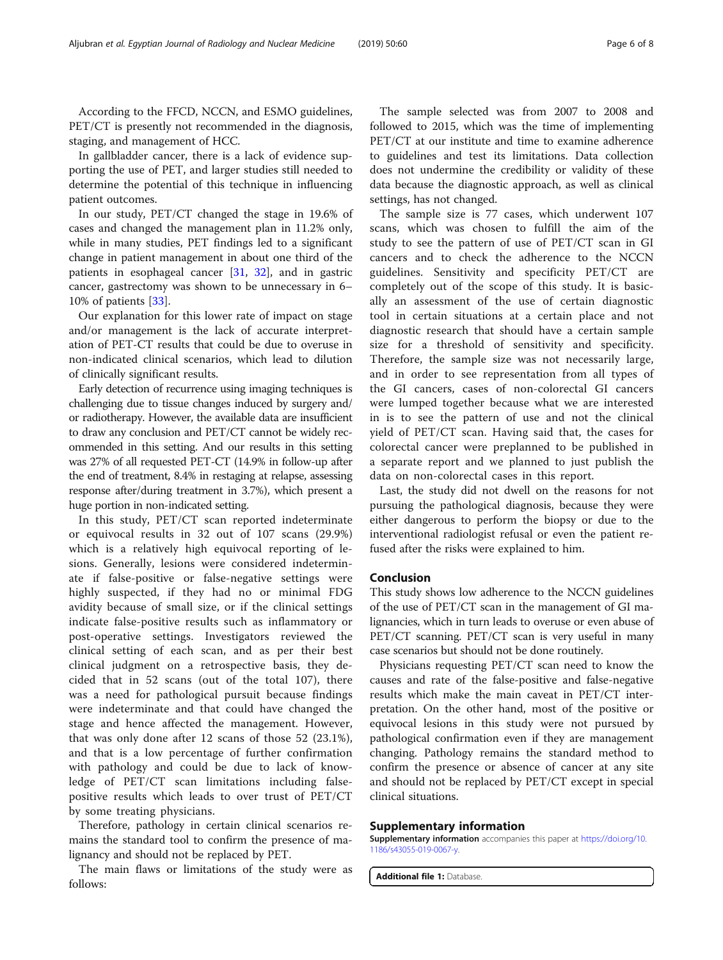According to the FFCD, NCCN, and ESMO guidelines, PET/CT is presently not recommended in the diagnosis, staging, and management of HCC.

In gallbladder cancer, there is a lack of evidence supporting the use of PET, and larger studies still needed to determine the potential of this technique in influencing patient outcomes.

In our study, PET/CT changed the stage in 19.6% of cases and changed the management plan in 11.2% only, while in many studies, PET findings led to a significant change in patient management in about one third of the patients in esophageal cancer [\[31](#page-7-0), [32](#page-7-0)], and in gastric cancer, gastrectomy was shown to be unnecessary in 6– 10% of patients [\[33](#page-7-0)].

Our explanation for this lower rate of impact on stage and/or management is the lack of accurate interpretation of PET-CT results that could be due to overuse in non-indicated clinical scenarios, which lead to dilution of clinically significant results.

Early detection of recurrence using imaging techniques is challenging due to tissue changes induced by surgery and/ or radiotherapy. However, the available data are insufficient to draw any conclusion and PET/CT cannot be widely recommended in this setting. And our results in this setting was 27% of all requested PET-CT (14.9% in follow-up after the end of treatment, 8.4% in restaging at relapse, assessing response after/during treatment in 3.7%), which present a huge portion in non-indicated setting.

In this study, PET/CT scan reported indeterminate or equivocal results in 32 out of 107 scans (29.9%) which is a relatively high equivocal reporting of lesions. Generally, lesions were considered indeterminate if false-positive or false-negative settings were highly suspected, if they had no or minimal FDG avidity because of small size, or if the clinical settings indicate false-positive results such as inflammatory or post-operative settings. Investigators reviewed the clinical setting of each scan, and as per their best clinical judgment on a retrospective basis, they decided that in 52 scans (out of the total 107), there was a need for pathological pursuit because findings were indeterminate and that could have changed the stage and hence affected the management. However, that was only done after 12 scans of those 52 (23.1%), and that is a low percentage of further confirmation with pathology and could be due to lack of knowledge of PET/CT scan limitations including falsepositive results which leads to over trust of PET/CT by some treating physicians.

Therefore, pathology in certain clinical scenarios remains the standard tool to confirm the presence of malignancy and should not be replaced by PET.

The main flaws or limitations of the study were as follows:

The sample selected was from 2007 to 2008 and followed to 2015, which was the time of implementing PET/CT at our institute and time to examine adherence to guidelines and test its limitations. Data collection does not undermine the credibility or validity of these data because the diagnostic approach, as well as clinical settings, has not changed.

The sample size is 77 cases, which underwent 107 scans, which was chosen to fulfill the aim of the study to see the pattern of use of PET/CT scan in GI cancers and to check the adherence to the NCCN guidelines. Sensitivity and specificity PET/CT are completely out of the scope of this study. It is basically an assessment of the use of certain diagnostic tool in certain situations at a certain place and not diagnostic research that should have a certain sample size for a threshold of sensitivity and specificity. Therefore, the sample size was not necessarily large, and in order to see representation from all types of the GI cancers, cases of non-colorectal GI cancers were lumped together because what we are interested in is to see the pattern of use and not the clinical yield of PET/CT scan. Having said that, the cases for colorectal cancer were preplanned to be published in a separate report and we planned to just publish the data on non-colorectal cases in this report.

Last, the study did not dwell on the reasons for not pursuing the pathological diagnosis, because they were either dangerous to perform the biopsy or due to the interventional radiologist refusal or even the patient refused after the risks were explained to him.

#### Conclusion

This study shows low adherence to the NCCN guidelines of the use of PET/CT scan in the management of GI malignancies, which in turn leads to overuse or even abuse of PET/CT scanning. PET/CT scan is very useful in many case scenarios but should not be done routinely.

Physicians requesting PET/CT scan need to know the causes and rate of the false-positive and false-negative results which make the main caveat in PET/CT interpretation. On the other hand, most of the positive or equivocal lesions in this study were not pursued by pathological confirmation even if they are management changing. Pathology remains the standard method to confirm the presence or absence of cancer at any site and should not be replaced by PET/CT except in special clinical situations.

#### Supplementary information

Supplementary information accompanies this paper at [https://doi.org/10.](https://doi.org/10.1186/s43055-019-0067-y) [1186/s43055-019-0067-y](https://doi.org/10.1186/s43055-019-0067-y).

Additional file 1: Database.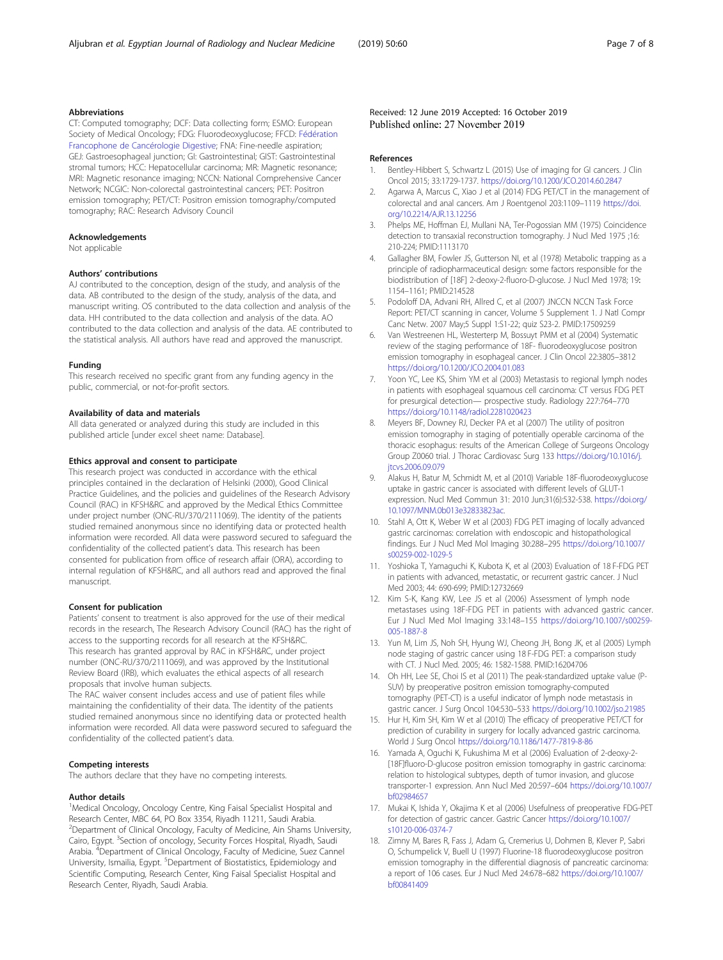#### <span id="page-6-0"></span>Abbreviations

CT: Computed tomography; DCF: Data collecting form; ESMO: European Society of Medical Oncology; FDG: Fluorodeoxyglucose; FFCD: [Fédération](https://www.ncbi.nlm.nih.gov/pubmed/?term=F%C3%A9d%C3%A9ration%20Francophone%20de%20Canc%C3%A9rologie%20Digestive%20(FFCD)%5BCorporate%20Author%5D) [Francophone de Cancérologie Digestive](https://www.ncbi.nlm.nih.gov/pubmed/?term=F%C3%A9d%C3%A9ration%20Francophone%20de%20Canc%C3%A9rologie%20Digestive%20(FFCD)%5BCorporate%20Author%5D); FNA: Fine-needle aspiration; GEJ: Gastroesophageal junction; GI: Gastrointestinal; GIST: Gastrointestinal stromal tumors; HCC: Hepatocellular carcinoma; MR: Magnetic resonance; MRI: Magnetic resonance imaging; NCCN: National Comprehensive Cancer Network; NCGIC: Non-colorectal gastrointestinal cancers; PET: Positron emission tomography; PET/CT: Positron emission tomography/computed tomography; RAC: Research Advisory Council

#### Acknowledgements

Not applicable

#### Authors' contributions

AJ contributed to the conception, design of the study, and analysis of the data. AB contributed to the design of the study, analysis of the data, and manuscript writing. OS contributed to the data collection and analysis of the data. HH contributed to the data collection and analysis of the data. AO contributed to the data collection and analysis of the data. AE contributed to the statistical analysis. All authors have read and approved the manuscript.

#### Funding

This research received no specific grant from any funding agency in the public, commercial, or not-for-profit sectors.

#### Availability of data and materials

All data generated or analyzed during this study are included in this published article [under excel sheet name: Database].

#### Ethics approval and consent to participate

This research project was conducted in accordance with the ethical principles contained in the declaration of Helsinki (2000), Good Clinical Practice Guidelines, and the policies and guidelines of the Research Advisory Council (RAC) in KFSH&RC and approved by the Medical Ethics Committee under project number (ONC-RU/370/2111069). The identity of the patients studied remained anonymous since no identifying data or protected health information were recorded. All data were password secured to safeguard the confidentiality of the collected patient's data. This research has been consented for publication from office of research affair (ORA), according to internal regulation of KFSH&RC, and all authors read and approved the final manuscript.

#### Consent for publication

Patients' consent to treatment is also approved for the use of their medical records in the research, The Research Advisory Council (RAC) has the right of access to the supporting records for all research at the KFSH&RC. This research has granted approval by RAC in KFSH&RC, under project number (ONC-RU/370/2111069), and was approved by the Institutional Review Board (IRB), which evaluates the ethical aspects of all research proposals that involve human subjects.

The RAC waiver consent includes access and use of patient files while maintaining the confidentiality of their data. The identity of the patients studied remained anonymous since no identifying data or protected health information were recorded. All data were password secured to safeguard the confidentiality of the collected patient's data.

#### Competing interests

The authors declare that they have no competing interests.

#### Author details

<sup>1</sup>Medical Oncology, Oncology Centre, King Faisal Specialist Hospital and Research Center, MBC 64, PO Box 3354, Riyadh 11211, Saudi Arabia. <sup>2</sup>Department of Clinical Oncology, Faculty of Medicine, Ain Shams University, Cairo, Egypt. <sup>3</sup>Section of oncology, Security Forces Hospital, Riyadh, Saudi Arabia. <sup>4</sup>Department of Clinical Oncology, Faculty of Medicine, Suez Cannel University, Ismailia, Egypt. <sup>5</sup>Department of Biostatistics, Epidemiology and Scientific Computing, Research Center, King Faisal Specialist Hospital and Research Center, Riyadh, Saudi Arabia.

#### Received: 12 June 2019 Accepted: 16 October 2019 Published online: 27 November 2019

#### References

- 1. Bentley-Hibbert S, Schwartz L (2015) Use of imaging for GI cancers. J Clin Oncol 2015; 33:1729-1737. <https://doi.org/10.1200/JCO.2014.60.2847>
- Agarwa A, Marcus C, Xiao J et al (2014) FDG PET/CT in the management of colorectal and anal cancers. Am J Roentgenol 203:1109–1119 [https://doi.](https://doi.org/10.2214/AJR.13.12256) [org/10.2214/AJR.13.12256](https://doi.org/10.2214/AJR.13.12256)
- 3. Phelps ME, Hoffman EJ, Mullani NA, Ter-Pogossian MM (1975) Coincidence detection to transaxial reconstruction tomography. J Nucl Med 1975 ;16: 210-224; PMID:1113170
- 4. Gallagher BM, Fowler JS, Gutterson NI, et al (1978) Metabolic trapping as a principle of radiopharmaceutical design: some factors responsible for the biodistribution of [18F] 2-deoxy-2-fluoro-D-glucose. J Nucl Med 1978; 19: 1154–1161; PMID:214528
- 5. Podoloff DA, Advani RH, Allred C, et al (2007) JNCCN NCCN Task Force Report: PET/CT scanning in cancer, Volume 5 Supplement 1. J Natl Compr Canc Netw. 2007 May;5 Suppl 1:S1-22; quiz S23-2. PMID:17509259
- Van Westreenen HL, Westerterp M, Bossuyt PMM et al (2004) Systematic review of the staging performance of 18F- fluorodeoxyglucose positron emission tomography in esophageal cancer. J Clin Oncol 22:3805–3812 <https://doi.org/10.1200/JCO.2004.01.083>
- 7. Yoon YC, Lee KS, Shim YM et al (2003) Metastasis to regional lymph nodes in patients with esophageal squamous cell carcinoma: CT versus FDG PET for presurgical detection— prospective study. Radiology 227:764–770 <https://doi.org/10.1148/radiol.2281020423>
- 8. Meyers BF, Downey RJ, Decker PA et al (2007) The utility of positron emission tomography in staging of potentially operable carcinoma of the thoracic esophagus: results of the American College of Surgeons Oncology Group Z0060 trial. J Thorac Cardiovasc Surg 133 [https://doi.org/10.1016/j.](https://doi.org/10.1016/j.jtcvs.2006.09.079) [jtcvs.2006.09.079](https://doi.org/10.1016/j.jtcvs.2006.09.079)
- 9. Alakus H, Batur M, Schmidt M, et al (2010) Variable 18F-fluorodeoxyglucose uptake in gastric cancer is associated with different levels of GLUT-1 expression. Nucl Med Commun 31: 2010 Jun;31(6):532-538. [https://doi.org/](https://doi.org/10.1097/MNM.0b013e32833823ac) [10.1097/MNM.0b013e32833823ac](https://doi.org/10.1097/MNM.0b013e32833823ac).
- 10. Stahl A, Ott K, Weber W et al (2003) FDG PET imaging of locally advanced gastric carcinomas: correlation with endoscopic and histopathological findings. Eur J Nucl Med Mol Imaging 30:288–295 [https://doi.org/10.1007/](https://doi.org/10.1007/s00259-002-1029-5) [s00259-002-1029-5](https://doi.org/10.1007/s00259-002-1029-5)
- 11. Yoshioka T, Yamaguchi K, Kubota K, et al (2003) Evaluation of 18 F-FDG PET in patients with advanced, metastatic, or recurrent gastric cancer. J Nucl Med 2003; 44: 690-699; PMID:12732669
- 12. Kim S-K, Kang KW, Lee JS et al (2006) Assessment of lymph node metastases using 18F-FDG PET in patients with advanced gastric cancer. Eur J Nucl Med Mol Imaging 33:148–155 [https://doi.org/10.1007/s00259-](https://doi.org/10.1007/s00259-005-1887-8) [005-1887-8](https://doi.org/10.1007/s00259-005-1887-8)
- 13. Yun M, Lim JS, Noh SH, Hyung WJ, Cheong JH, Bong JK, et al (2005) Lymph node staging of gastric cancer using 18 F-FDG PET: a comparison study with CT. J Nucl Med. 2005; 46: 1582-1588. PMID:16204706
- 14. Oh HH, Lee SE, Choi IS et al (2011) The peak-standardized uptake value (P-SUV) by preoperative positron emission tomography-computed tomography (PET-CT) is a useful indicator of lymph node metastasis in gastric cancer. J Surg Oncol 104:530–533 <https://doi.org/10.1002/jso.21985>
- 15. Hur H, Kim SH, Kim W et al (2010) The efficacy of preoperative PET/CT for prediction of curability in surgery for locally advanced gastric carcinoma. World J Surg Oncol <https://doi.org/10.1186/1477-7819-8-86>
- 16. Yamada A, Oguchi K, Fukushima M et al (2006) Evaluation of 2-deoxy-2- [18F]fluoro-D-glucose positron emission tomography in gastric carcinoma: relation to histological subtypes, depth of tumor invasion, and glucose transporter-1 expression. Ann Nucl Med 20:597–604 [https://doi.org/10.1007/](https://doi.org/10.1007/bf02984657) [bf02984657](https://doi.org/10.1007/bf02984657)
- 17. Mukai K, Ishida Y, Okajima K et al (2006) Usefulness of preoperative FDG-PET for detection of gastric cancer. Gastric Cancer [https://doi.org/10.1007/](https://doi.org/10.1007/s10120-006-0374-7) [s10120-006-0374-7](https://doi.org/10.1007/s10120-006-0374-7)
- 18. Zimny M, Bares R, Fass J, Adam G, Cremerius U, Dohmen B, Klever P, Sabri O, Schumpelick V, Buell U (1997) Fluorine-18 fluorodeoxyglucose positron emission tomography in the differential diagnosis of pancreatic carcinoma: a report of 106 cases. Eur J Nucl Med 24:678–682 [https://doi.org/10.1007/](https://doi.org/10.1007/bf00841409) [bf00841409](https://doi.org/10.1007/bf00841409)